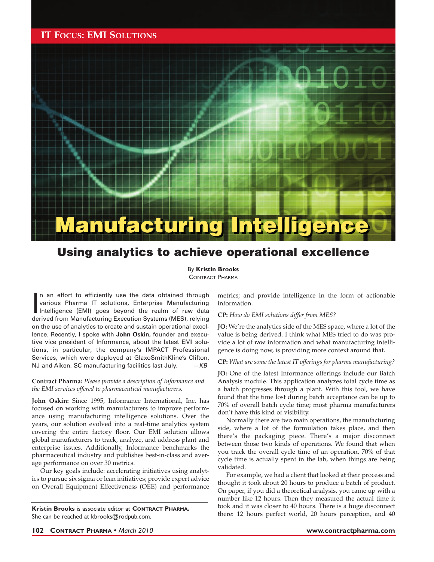## **IT FOCUS: EMI SOLUTIONS**



# Using analytics to achieve operational excellence

By **Kristin Brooks** CONTRACT PHARMA

In an effort to efficiently use the data obtained through various Pharma IT solutions, Enterprise Manufacturing Intelligence (EMI) goes beyond the realm of raw data derived from Manufacturing Execution Systems (MES), relyi n an effort to efficiently use the data obtained through various Pharma IT solutions, Enterprise Manufacturing Intelligence (EMI) goes beyond the realm of raw data on the use of analytics to create and sustain operational excellence. Recently, I spoke with **John Oskin,** founder and executive vice president of Informance, about the latest EMI solutions, in particular, the company's IMPACT Professional Services, which were deployed at GlaxoSmithKline's Clifton, NJ and Aiken, SC manufacturing facilities last July.  $-KB$ 

#### **Contract Pharma:** *Please provide a description of Informance and the EMI services offered to pharmaceutical manufacturers.*

**John Oskin:** Since 1995, Informance International, Inc. has focused on working with manufacturers to improve performance using manufacturing intelligence solutions. Over the years, our solution evolved into a real-time analytics system covering the entire factory floor. Our EMI solution allows global manufacturers to track, analyze, and address plant and enterprise issues. Additionally, Informance benchmarks the pharmaceutical industry and publishes best-in-class and average performance on over 30 metrics.

Our key goals include: accelerating initiatives using analytics to pursue six sigma or lean initiatives; provide expert advice on Overall Equipment Effectiveness (OEE) and performance

**Kristin Brooks** is associate editor at **CONTRACT PHARMA.** She can be reached at kbrooks@rodpub.com.

metrics; and provide intelligence in the form of actionable information.

**CP:** *How do EMI solutions differ from MES?*

**JO:** We're the analytics side of the MES space, where a lot of the value is being derived. I think what MES tried to do was provide a lot of raw information and what manufacturing intelligence is doing now, is providing more context around that.

**CP:** *What are some the latest IT offerings for pharma manufacturing?* 

JO: One of the latest Informance offerings include our Batch Analysis module. This application analyzes total cycle time as a batch progresses through a plant. With this tool, we have found that the time lost during batch acceptance can be up to 70% of overall batch cycle time; most pharma manufacturers don't have this kind of visibility.

Normally there are two main operations, the manufacturing side, where a lot of the formulation takes place, and then there's the packaging piece. There's a major disconnect between those two kinds of operations. We found that when you track the overall cycle time of an operation, 70% of that cycle time is actually spent in the lab, when things are being validated.

For example, we had a client that looked at their process and thought it took about 20 hours to produce a batch of product. On paper, if you did a theoretical analysis, you came up with a number like 12 hours. Then they measured the actual time it took and it was closer to 40 hours. There is a huge disconnect there: 12 hours perfect world, 20 hours perception, and 40